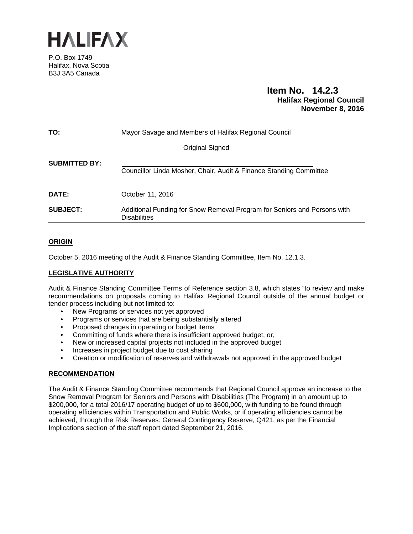

P.O. Box 1749 Halifax, Nova Scotia B3J 3A5 Canada

# **Item No. 14.2.3 Halifax Regional Council November 8, 2016**

| TO:                  | Mayor Savage and Members of Halifax Regional Council                                            |
|----------------------|-------------------------------------------------------------------------------------------------|
|                      | Original Signed                                                                                 |
| <b>SUBMITTED BY:</b> | Councillor Linda Mosher, Chair, Audit & Finance Standing Committee                              |
| DATE:                | October 11, 2016                                                                                |
| <b>SUBJECT:</b>      | Additional Funding for Snow Removal Program for Seniors and Persons with<br><b>Disabilities</b> |

# **ORIGIN**

October 5, 2016 meeting of the Audit & Finance Standing Committee, Item No. 12.1.3.

# **LEGISLATIVE AUTHORITY**

Audit & Finance Standing Committee Terms of Reference section 3.8, which states "to review and make recommendations on proposals coming to Halifax Regional Council outside of the annual budget or tender process including but not limited to:

- New Programs or services not yet approved
- Programs or services that are being substantially altered
- Proposed changes in operating or budget items
- Committing of funds where there is insufficient approved budget, or,
- New or increased capital projects not included in the approved budget
- Increases in project budget due to cost sharing
- Creation or modification of reserves and withdrawals not approved in the approved budget

## **RECOMMENDATION**

The Audit & Finance Standing Committee recommends that Regional Council approve an increase to the Snow Removal Program for Seniors and Persons with Disabilities (The Program) in an amount up to \$200,000, for a total 2016/17 operating budget of up to \$600,000, with funding to be found through operating efficiencies within Transportation and Public Works, or if operating efficiencies cannot be achieved, through the Risk Reserves: General Contingency Reserve, Q421, as per the Financial Implications section of the staff report dated September 21, 2016.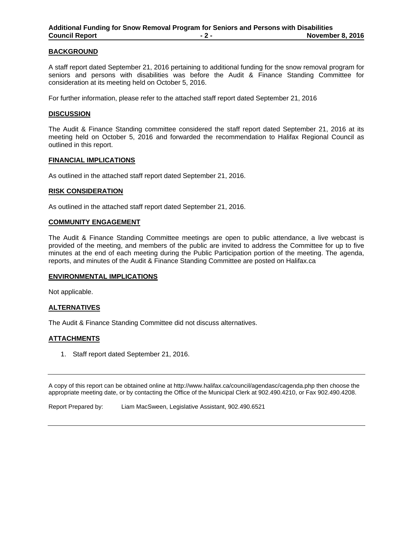## **BACKGROUND**

A staff report dated September 21, 2016 pertaining to additional funding for the snow removal program for seniors and persons with disabilities was before the Audit & Finance Standing Committee for consideration at its meeting held on October 5, 2016.

For further information, please refer to the attached staff report dated September 21, 2016

### **DISCUSSION**

The Audit & Finance Standing committee considered the staff report dated September 21, 2016 at its meeting held on October 5, 2016 and forwarded the recommendation to Halifax Regional Council as outlined in this report.

#### **FINANCIAL IMPLICATIONS**

As outlined in the attached staff report dated September 21, 2016.

### **RISK CONSIDERATION**

As outlined in the attached staff report dated September 21, 2016.

### **COMMUNITY ENGAGEMENT**

The Audit & Finance Standing Committee meetings are open to public attendance, a live webcast is provided of the meeting, and members of the public are invited to address the Committee for up to five minutes at the end of each meeting during the Public Participation portion of the meeting. The agenda, reports, and minutes of the Audit & Finance Standing Committee are posted on Halifax.ca

## **ENVIRONMENTAL IMPLICATIONS**

Not applicable.

## **ALTERNATIVES**

The Audit & Finance Standing Committee did not discuss alternatives.

## **ATTACHMENTS**

1. Staff report dated September 21, 2016.

A copy of this report can be obtained online at http://www.halifax.ca/council/agendasc/cagenda.php then choose the appropriate meeting date, or by contacting the Office of the Municipal Clerk at 902.490.4210, or Fax 902.490.4208.

Report Prepared by: Liam MacSween, Legislative Assistant, 902.490.6521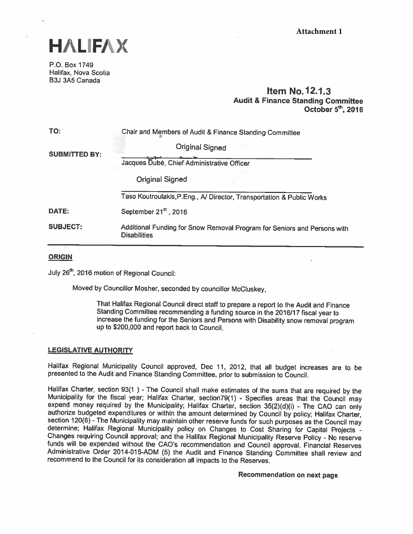

P.O. Box 1749 Halifax, Nova Scotia 63J 3A5 Canada

# item No.12.1.3 Audit & Finance Standing Committee October  $5<sup>th</sup>$ , 2016

| TO:                  | Chair and Members of Audit & Finance Standing Committee                                         |  |
|----------------------|-------------------------------------------------------------------------------------------------|--|
| <b>SUBMITTED BY:</b> | Original Signed                                                                                 |  |
|                      | Jacques Dubé, Chief Administrative Officer                                                      |  |
|                      | <b>Original Signed</b>                                                                          |  |
|                      | Taso Koutroulakis, P.Eng., A/ Director, Transportation & Public Works                           |  |
| DATE:                | September 21 <sup>st</sup> , 2016                                                               |  |
| <b>SUBJECT:</b>      | Additional Funding for Snow Removal Program for Seniors and Persons with<br><b>Disabilities</b> |  |

# **ORIGIN**

July 26<sup>th</sup>, 2016 motion of Regional Council:

Moved by Councillor Mosher, seconded by councillor McCluskey,

That Halifax Regional Council direct staff to prepare <sup>a</sup> report to the Audit and Finance increase the funding for the Seniors and Persons with Disability snow removal program up to \$200,000 and report back to Council.

## LEGISLATIVE AUTHORITY

Halifax Regional Municipality Council approved, Dec 11, 2012, that all budget increases are to be presented to the Audit and Finance Standing Committee, prior to submission to Council.

Halifax Charter, section 93(1) - The Council shall make estimates of the sums that are required by the Municipality for the fiscal year; Halifax Charter, section79(1) - Specifies areas that the Council may expend money req

Recommendation on next page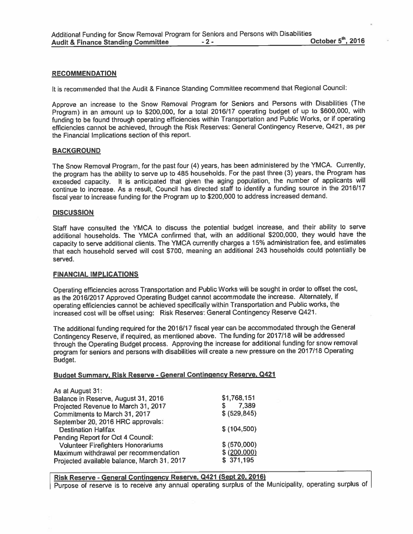### RECOMMENDATION

It is recommended that the Audit & Finance Standing Committee recommend that Regional Council:

Approve an increase to the Snow Removal Program for Seniors and Persons with Disabilities (The Program) in an amount up to \$200,000, for <sup>a</sup> total 2016/17 operating budget of up to \$600,000, with funding to be found through operating efficiencies within Transportation and Public Works, or if operating efficiencies cannot be achieved, through the Risk Reserves: General Contingency Reserve, Q421, as per the Financial Implications section of this report

### **BACKGROUND**

The Snow Removal Program, for the pas<sup>t</sup> four (4) years, has been administered by the YMCA. Currently, the program has the ability to serve up to <sup>485</sup> households. For the pas<sup>t</sup> three (3) years, the Program has exceeded capacity. It is anticipated that given the aging population, the number of applicants will continue to increase. As <sup>a</sup> result, Council has directed staff to identify <sup>a</sup> funding source in the 2016/17 fiscal year to increase funding for the Program up to \$200,000 to address increased demand.

#### **DISCUSSION**

Staff have consulted the YMCA to discuss the potential budget increase, and their ability to serve additional households. The YMCA confirmed that, with an additional \$200,000, they would have the capacity to serve additional clients. The YMCA currently charges <sup>a</sup> 15% administration fee, and estimates that each household served will cost \$700, meaning an additional <sup>243</sup> households could potentially be served.

#### FINANCIAL IMPLICATIONS

Operating efficiencies across Transportation and Public Works will be sought in order to offset the cost, as the 2016/2017 Approved Operating Budget cannot accommodate the increase. Alternately, i operating efficiencies cannot be achieved specifically within Transportation and Public works, the increased cost will be offset using: Risk Reserves: General Contingency Reserve Q421.

The additional funding required for the 2016/17 fiscal year can be accommodated through the General Contingency Reserve, if required, as mentioned above. The funding for 2017/18 will be addressed through the Operating Budget process. Approving the increase for additional funding for snow removal program for seniors and persons with disabilities will create <sup>a</sup> new pressure on the 2017/18 Operating Budget.

# Budget Summary, Risk Reserve - General Contingency Reserve, Q421

| As at August 31:                            |               |
|---------------------------------------------|---------------|
| Balance in Reserve, August 31, 2016         | \$1,768,151   |
| Projected Revenue to March 31, 2017         | 7,389<br>S    |
| Commitments to March 31, 2017               | \$ (529, 845) |
| September 20, 2016 HRC approvals:           |               |
| <b>Destination Halifax</b>                  | \$(104, 500)  |
| Pending Report for Oct 4 Council:           |               |
| <b>Volunteer Firefighters Honorariums</b>   | \$ (570,000)  |
| Maximum withdrawal per recommendation       | \$ (200,000)  |
| Projected available balance, March 31, 2017 | \$371,195     |
|                                             |               |

# Risk Reserve - General Contingency Reserve, 0421 (Sept 20, 2016)

Purpose of reserve is to receive any annual operating surplus of the Municipality, operating surplus of